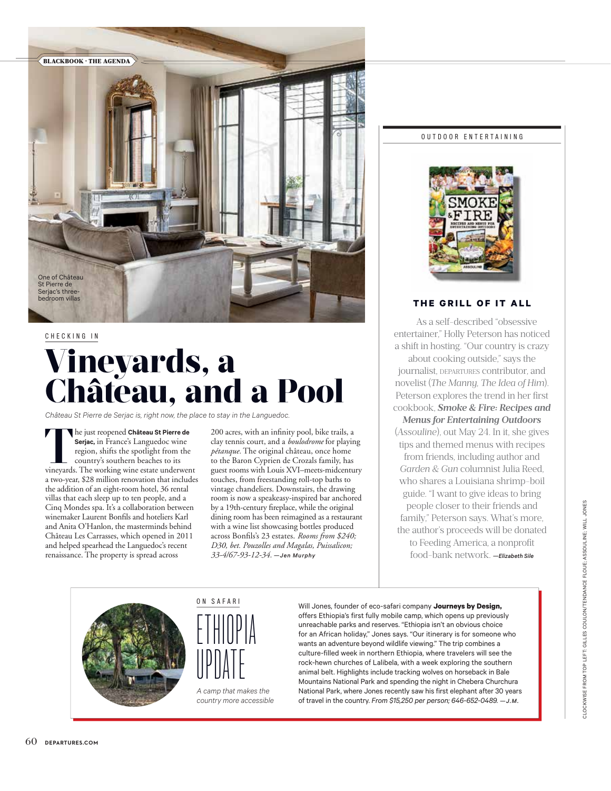

### **Vineyards, a Château, and a Pool** CHECKING IN

*Château St Pierre de Serjac is, right now, the place to stay in the Languedoc.*

**The just reopened Château St Pierre de Serjac, in** France's Languedoc wine region, shifts the spotlight from the country's southern beaches to its vineyards. The working wine estate underwent **Serjac,** in France's Languedoc wine region, shifts the spotlight from the country's southern beaches to its a two-year, \$28 million renovation that includes the addition of an eight-room hotel, 36 rental villas that each sleep up to ten people, and a Cinq Mondes spa. It's a collaboration between winemaker Laurent Bonfils and hoteliers Karl and Anita O'Hanlon, the masterminds behind Château Les Carrasses, which opened in 2011 and helped spearhead the Languedoc's recent renaissance. The property is spread across

200 acres, with an infinity pool, bike trails, a clay tennis court, and a *boulodrome* for playing *pétanque.* The original château, once home to the Baron Cyprien de Crozals family, has guest rooms with Louis XVI–meets-midcentury touches, from freestanding roll-top baths to vintage chandeliers. Downstairs, the drawing room is now a speakeasy-inspired bar anchored by a 19th-century fireplace, while the original dining room has been reimagined as a restaurant with a wine list showcasing bottles produced across Bonfils's 23 estates. *Rooms from \$240; D30, bet. Pouzolles and Magalas, Puissalicon; 33-4/67-93-12-34. —Jen Murphy*

#### OUTDOOR ENTERTAINING



#### **THE GRILL OF IT ALL**

As a self-described "obsessive entertainer," Holly Peterson has noticed a shift in hosting. "Our country is crazy about cooking outside," says the journalist, DEPARTURES contributor, and novelist (*The Manny, The Idea of Him*). Peterson explores the trend in her first cookbook, *Smoke & Fire: Recipes and Menus for Entertaining Outdoors* (*Assouline*), out May 24. In it, she gives tips and themed menus with recipes from friends, including author and *Garden & Gun* columnist Julia Reed, who shares a Louisiana shrimp-boil guide. "I want to give ideas to bring people closer to their friends and

family," Peterson says. What's more, the author's proceeds will be donated to Feeding America, a nonprofit food-bank network. *—Elizabeth Sile*





*A camp that makes the country more accessible* 

Will Jones, founder of eco-safari company **Journeys by Design,** offers Ethiopia's first fully mobile camp, which opens up previously unreachable parks and reserves. "Ethiopia isn't an obvious choice for an African holiday," Jones says. "Our itinerary is for someone who wants an adventure beyond wildlife viewing." The trip combines a culture-filled week in northern Ethiopia, where travelers will see the rock-hewn churches of Lalibela, with a week exploring the southern animal belt. Highlights include tracking wolves on horseback in Bale Mountains National Park and spending the night in Chebera Churchura National Park, where Jones recently saw his first elephant after 30 years of travel in the country. *From \$15,250 per person; 646-652-0489. —J.M.*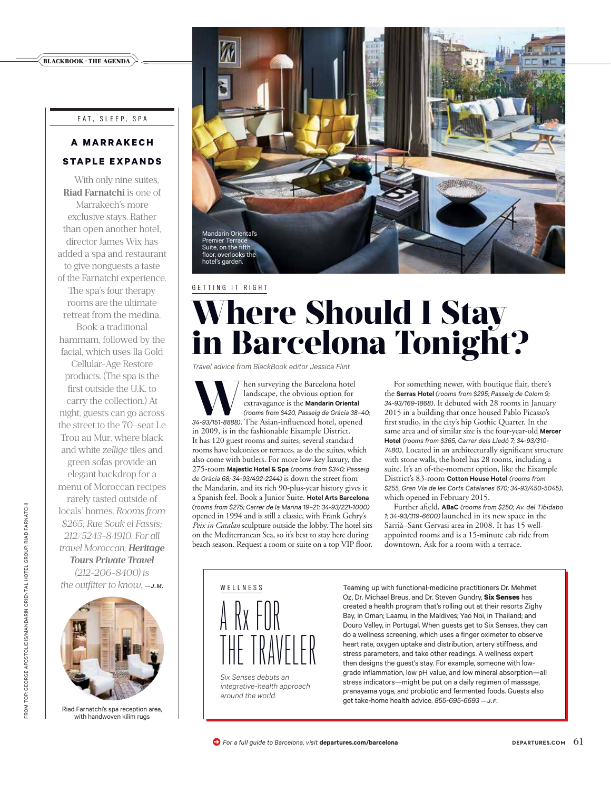#### BLACKBOOK · THE AGENDA

#### E AT, S L E E P, S PA

#### **A M A R R A K E C H STAPLE EXPANDS**

With only nine suites, **Riad Farnatchi** is one of Marrakech's more exclusive stays. Rather than open another hotel, director James Wix has added a spa and restaurant to give nonguests a taste of the Farnatchi experience. The spa's four therapy rooms are the ultimate retreat from the medina. Book a traditional hammam, followed by the facial, which uses Ila Gold Cellular-Age Restore products. (The spa is the first outside the U.K. to carry the collection.) At night, guests can go across the street to the 70-seat Le Trou au Mur, where black and white *zellige* tiles and green sofas provide an elegant backdrop for a menu of Moroccan recipes rarely tasted outside of locals' homes. *Rooms from \$265; Rue Souk el Fassis; 212/5243-84910. For all travel Moroccan, Heritage Tours Private Travel (212-206-8400) is the outfitter to know. —J.M.*



Riad Farnatchi's spa reception area, with handwoven kilim rugs



# **Where Should I Stay in Barcelona Tonight?**

*Travel advice from BlackBook editor Jessica Flint* 

**Warehouse** the Sarcelona hotel landscape, the obvious option for extravagance is the **Mandarin Oriental** (*rooms from \$420, Passeig de Gràcia 38-4*<br>34-93/151-8888). The Asian-influenced hotel, opened landscape, the obvious option for extravagance is the **Mandarin Oriental**  *(rooms from \$420, Passeig de Gràcia 38–40;*  in 2009, is in the fashionable Eixample District. It has 120 guest rooms and suites; several standard rooms have balconies or terraces, as do the suites, which also come with butlers. For more low-key luxury, the 275-room **Majestic Hotel & Spa** *(rooms from \$340; Passeig de Gràcia 68; 34-93/492-2244)* is down the street from the Mandarin, and its rich 90-plus-year history gives it a Spanish feel. Book a Junior Suite. **Hotel Arts Barcelona**  *(rooms from \$275; Carrer de la Marina 19–21; 34-93/221-1000)*  opened in 1994 and is still a classic, with Frank Gehry's *Peix in Catalan* sculpture outside the lobby. The hotel sits on the Mediterranean Sea, so it's best to stay here during beach season. Request a room or suite on a top VIP floor.

For something newer, with boutique flair, there's the **Serras Hotel** *(rooms from \$295; Passeig de Colom 9; 34-93/169-1868)*. It debuted with 28 rooms in January 2015 in a building that once housed Pablo Picasso's first studio, in the city's hip Gothic Quarter. In the same area and of similar size is the four-year-old **Mercer Hotel** *(rooms from \$365, Carrer dels Lledó 7; 34-93/310- 7480)*. Located in an architecturally significant structure with stone walls, the hotel has 28 rooms, including a suite. It's an of-the-moment option, like the Eixample District's 83-room **Cotton House Hotel** *(rooms from \$255, Gran Vía de les Corts Catalanes 670; 34-93/450-5045),* which opened in February 2015.

Further afield, **ABaC** *(rooms from \$250; Av. del Tibidabo 1; 34-93/319-6600)* launched in its new space in the Sarrià–Sant Gervasi area in 2008. It has 15 wellappointed rooms and is a 15-minute cab ride from downtown. Ask for a room with a terrace.



*Six Senses debuts an integrative-health approach around the world.* 

Teaming up with functional-medicine practitioners Dr. Mehmet Oz, Dr. Michael Breus, and Dr. Steven Gundry, **Six Senses** has created a health program that's rolling out at their resorts Zighy Bay, in Oman; Laamu, in the Maldives; Yao Noi, in Thailand; and Douro Valley, in Portugal. When guests get to Six Senses, they can do a wellness screening, which uses a finger oximeter to observe heart rate, oxygen uptake and distribution, artery stiffness, and stress parameters, and take other readings. A wellness expert then designs the guest's stay. For example, someone with lowgrade inflammation, low pH value, and low mineral absorption—all stress indicators—might be put on a daily regimen of massage, pranayama yoga, and probiotic and fermented foods. Guests also get take-home health advice. *855-695-6693 —J.F.*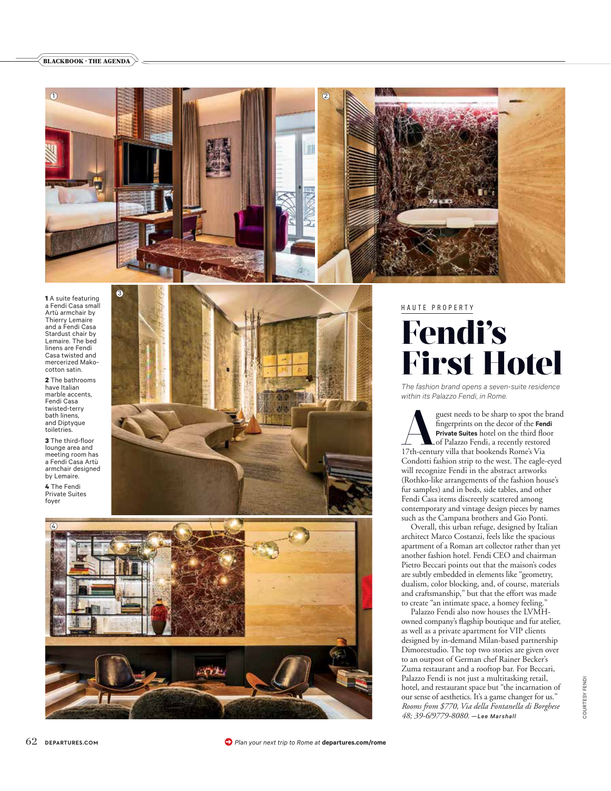#### BLACKBOOK · THE AGENDA



**1** A suite featuring a Fendi Casa small Artù armchair by Thierry Lemaire and a Fendi Casa Stardust chair by Lemaire. The bed linens are Fendi Casa twisted and mercerized Makocotton satin.

**2** The bathrooms have Italian marble accents, Fendi Casa twisted-terry bath linens, and Diptyque toiletries.

**3** The third-floor lounge area and meeting room has a Fendi Casa Artù armchair designed by Lemaire.

**4** The Fendi Private Suites foyer





#### HAUTE PROPERTY

## **Fendi's First Hotel**

*The fashion brand opens a seven-suite residence within its Palazzo Fendi, in Rome.*

guest needs to be sharp to spot the brand fingerprints on the decor of the **Fendi<br>Private Suites** hotel on the third floor<br>17th-century villa that bookends Rome's Via fingerprints on the decor of the **Fendi Private Suites** hotel on the third floor of Palazzo Fendi, a recently restored Condotti fashion strip to the west. The eagle-eyed will recognize Fendi in the abstract artworks (Rothko-like arrangements of the fashion house's fur samples) and in beds, side tables, and other Fendi Casa items discreetly scattered among contemporary and vintage design pieces by names such as the Campana brothers and Gio Ponti.

Overall, this urban refuge, designed by Italian architect Marco Costanzi, feels like the spacious apartment of a Roman art collector rather than yet another fashion hotel. Fendi CEO and chairman Pietro Beccari points out that the maison's codes are subtly embedded in elements like "geometry, dualism, color blocking, and, of course, materials and craftsmanship," but that the effort was made to create "an intimate space, a homey feeling."

Palazzo Fendi also now houses the LVMHowned company's flagship boutique and fur atelier, as well as a private apartment for VIP clients designed by in-demand Milan-based partnership Dimorestudio. The top two stories are given over to an outpost of German chef Rainer Becker's Zuma restaurant and a rooftop bar. For Beccari, Palazzo Fendi is not just a multitasking retail, hotel, and restaurant space but "the incarnation of our sense of aesthetics. It's a game changer for us." *Rooms from \$770, Via della Fontanella di Borghese 48; 39-6/9779-8080. —Lee Marshall*